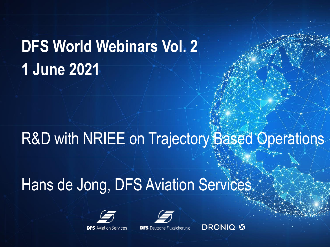# **DFS World Webinars Vol. 2 1 June 2021**

# R&D with NRIEE on Trajectory Based Operations

# Hans de Jong, DFS Aviation Services.





**DFS** Deutsche Flugsicherung

**DRONIQ G**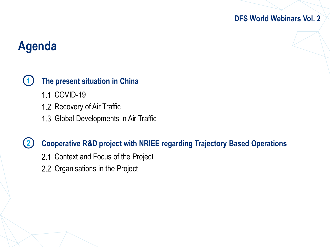## **Agenda**

#### **1 The present situation in China**

- 1.1 COVID-19
- 1.2 Recovery of Air Traffic
- 1.3 Global Developments in Air Traffic

#### **2 Cooperative R&D project with NRIEE regarding Trajectory Based Operations**

- 2.1 Context and Focus of the Project
- 2.2 Organisations in the Project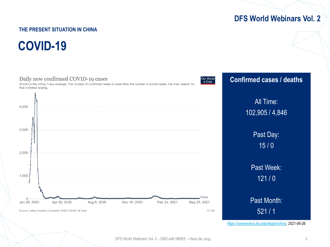### **THE PRESENT SITUATION IN CHINA**

**COVID-19**



[https://coronavirus.jhu.edu/region/china,](https://coronavirus.jhu.edu/region/china) 2021-06-26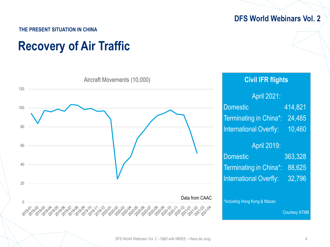#### **THE PRESENT SITUATION IN CHINA**

## **Recovery of Air Traffic**

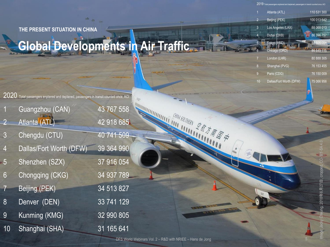**THE PRESENT SITUATION IN CHINA**

## **Global Developments in Air Traffic**

 $2020\,$  Total passengers enplaned and deplaned, passengers in transit counted once, ACI

| Guangzhou (CAN) |  |
|-----------------|--|
| Atlanta (ATL)   |  |

42 918 685

43 767 558

 $k_{\rm B}$ 

**INTERNATIONALITY OF THE ANNUALITY** 

**CHINA SOUTHERN** 

"<sup>全航</sup>方帝国中

- 3 Chengdu (CTU) 40 741 509
- 4 Dallas/Fort Worth (DFW) 39 364 990
- 5 Shenzhen (SZX) 37 916 054
- 6 Chongqing (CKG) 34 937 789
- 7 Beijing (PEK) 34 513 827
- 8 Denver (DEN) 33 741 129
- 9 Kunming (KMG) 32 990 805
- 10 Shanghai (SHA) 31 165 641

- -

| 1               | Atlanta (ATL)     | 110 531 300 |
|-----------------|-------------------|-------------|
| 2               | Beijing (PEK)     | 100 013 642 |
| 3               | Los Angeles (LAX) | 88 068 013  |
| 4               | Dubai (DXB)       | 86 396 757  |
| $5\overline{)}$ | Tokyo (HND).      | 85 505 054  |
| 6               | Chicago (ORD)     | 84 649 115  |
|                 | London (LHR)      | 80 888 305  |
| 8               | Shanghai (PVG)    | 76 153 455  |

 $2019$  Total passengers enplaned and deplaned, passengers in transit counter

- Paris (CDG) 76 150 009
- 10 Dallas/Fort Worth (DFW) 75 066 956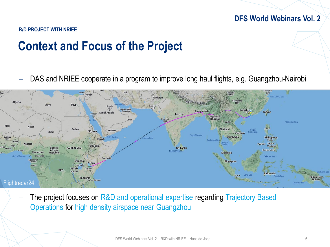#### **R/D PROJECT WITH NRIEE**

## **Context and Focus of the Project**

DAS and NRIEE cooperate in a program to improve long haul flights, e.g. Guangzhou-Nairobi



The project focuses on R&D and operational expertise regarding Trajectory Based Operations for high density airspace near Guangzhou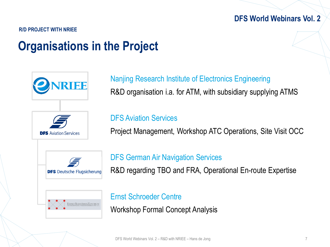**R/D PROJECT WITH NRIEE**

## **Organisations in the Project**



Nanjing Research Institute of Electronics Engineering R&D organisation i.a. for ATM, with subsidiary supplying ATMS

### DFS Aviation Services

Project Management, Workshop ATC Operations, Site Visit OCC

DFS German Air Navigation Services R&D regarding TBO and FRA, Operational En-route Expertise

Ernst Schroeder Centre

Workshop Formal Concept Analysis